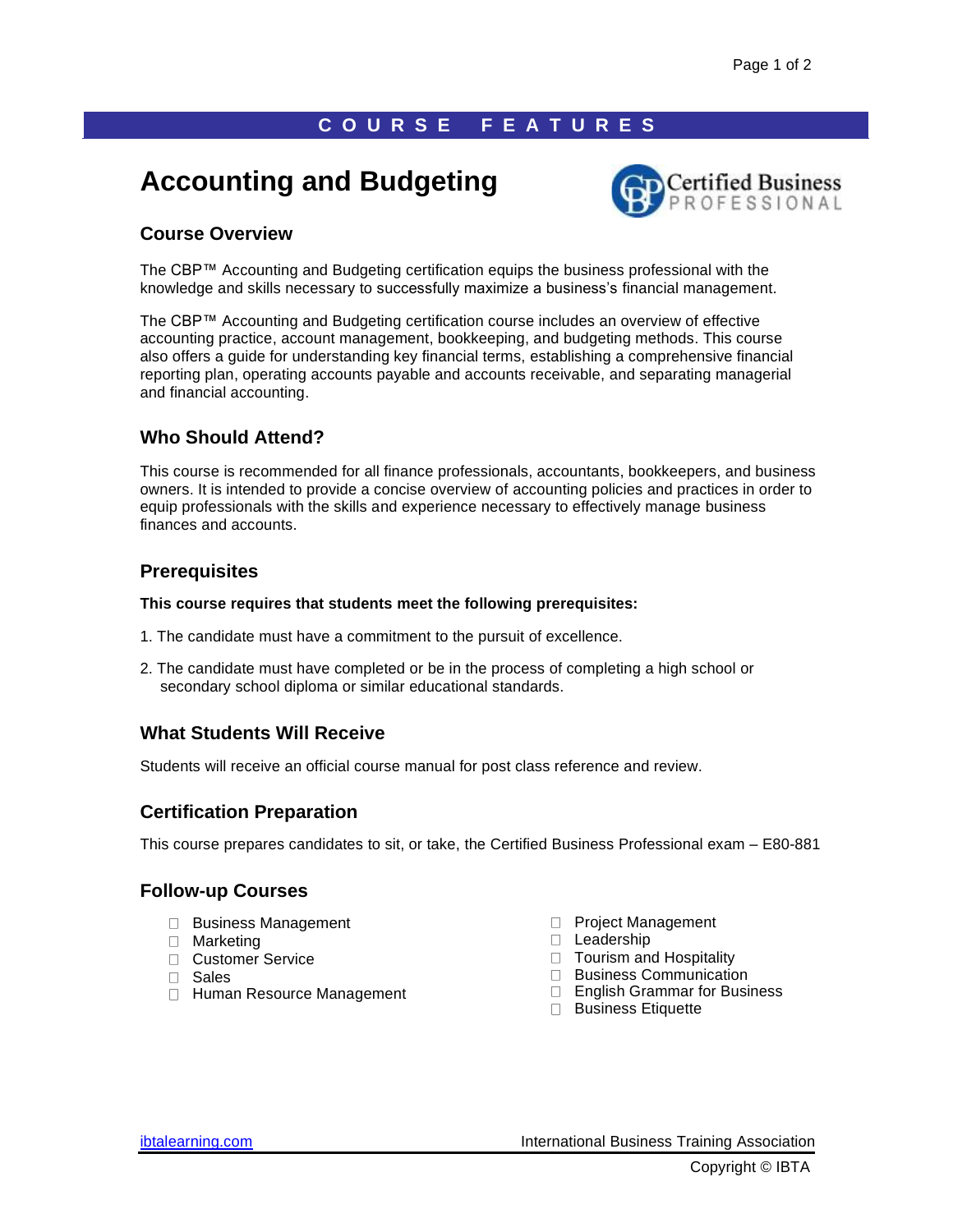# **C O U R S E F E A T U R E S**

# **Accounting and Budgeting**



# **Course Overview**

The CBP™ Accounting and Budgeting certification equips the business professional with the knowledge and skills necessary to successfully maximize a business's financial management.

The CBP™ Accounting and Budgeting certification course includes an overview of effective accounting practice, account management, bookkeeping, and budgeting methods. This course also offers a guide for understanding key financial terms, establishing a comprehensive financial reporting plan, operating accounts payable and accounts receivable, and separating managerial and financial accounting.

# **Who Should Attend?**

This course is recommended for all finance professionals, accountants, bookkeepers, and business owners. It is intended to provide a concise overview of accounting policies and practices in order to equip professionals with the skills and experience necessary to effectively manage business finances and accounts.

# **Prerequisites**

#### **This course requires that students meet the following prerequisites:**

- 1. The candidate must have a commitment to the pursuit of excellence.
- 2. The candidate must have completed or be in the process of completing a high school or secondary school diploma or similar educational standards.

# **What Students Will Receive**

Students will receive an official course manual for post class reference and review.

# **Certification Preparation**

This course prepares candidates to sit, or take, the Certified Business Professional exam – E80-881

# **Follow-up Courses**

- □ Business Management
- □ Marketing
- □ Customer Service
- Sales
- □ Human Resource Management
- **Project Management**
- D Leadership
- □ Tourism and Hospitality
- $\Box$  Business Communication
- □ English Grammar for Business
- **Business Etiquette**